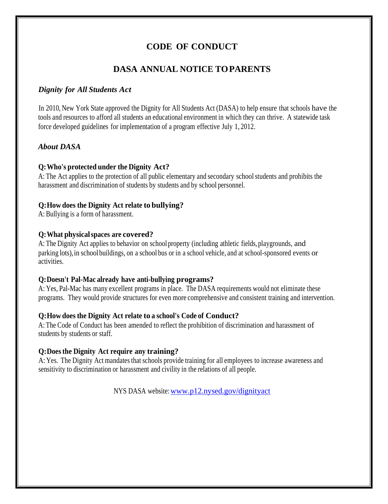# **CODE OF CONDUCT**

## **DASA ANNUAL NOTICE TOPARENTS**

## *Dignity for All Students Act*

In 2010, New York State approved the Dignity for All Students Act (DASA) to help ensure that schools have the tools and resources to afford all students an educational environment in which they can thrive. A statewide task force developed guidelines for implementation of a program effective July 1, 2012.

## *About DASA*

## **Q:Who's protected under the Dignity Act?**

A: The Act applies to the protection of all public elementary and secondary school students and prohibits the harassment and discrimination of students by students and by school personnel.

#### **Q:How does the Dignity Act relate to bullying?**

A: Bullying is a form of harassment.

#### **Q:What physicalspaces are covered?**

A: The Dignity Act applies to behavior on school property (including athletic fields, playgrounds, and parking lots),in schoolbuildings, on a school bus or in a school vehicle, and at school-sponsored events or activities.

#### **Q:Doesn't Pal-Mac already have anti-bullying programs?**

A: Yes, Pal-Mac has many excellent programs in place. The DASA requirements would not eliminate these programs. They would provide structures for even more comprehensive and consistent training and intervention.

## **Q:How does the Dignity Act relate to a school's Code of Conduct?**

A: The Code of Conduct has been amended to reflect the prohibition of discrimination and harassment of students by students or staff.

## **Q:Doesthe Dignity Act require any training?**

A: Yes. The Dignity Act mandates that schools provide training for all employees to increase awareness and sensitivity to discrimination or harassment and civility in the relations of all people.

NYS DASA website[:www.p12.nysed.gov/dignityact](http://www.p12.nysed.gov/dignityact)